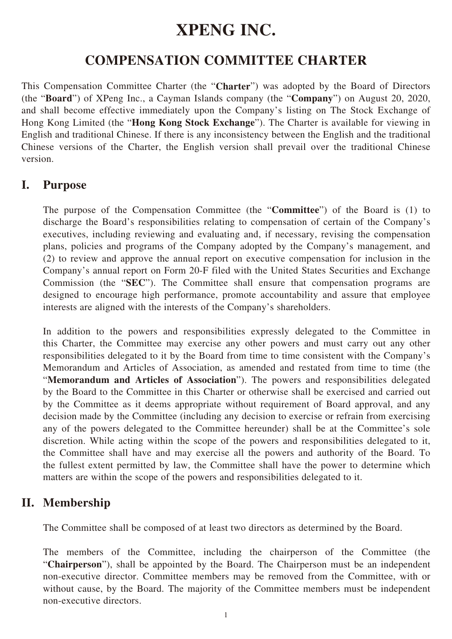# **XPENG INC.**

# **COMPENSATION COMMITTEE CHARTER**

This Compensation Committee Charter (the "**Charter**") was adopted by the Board of Directors (the "**Board**") of XPeng Inc., a Cayman Islands company (the "**Company**") on August 20, 2020, and shall become effective immediately upon the Company's listing on The Stock Exchange of Hong Kong Limited (the "**Hong Kong Stock Exchange**"). The Charter is available for viewing in English and traditional Chinese. If there is any inconsistency between the English and the traditional Chinese versions of the Charter, the English version shall prevail over the traditional Chinese version.

#### **I. Purpose**

The purpose of the Compensation Committee (the "**Committee**") of the Board is (1) to discharge the Board's responsibilities relating to compensation of certain of the Company's executives, including reviewing and evaluating and, if necessary, revising the compensation plans, policies and programs of the Company adopted by the Company's management, and (2) to review and approve the annual report on executive compensation for inclusion in the Company's annual report on Form 20-F filed with the United States Securities and Exchange Commission (the "**SEC**"). The Committee shall ensure that compensation programs are designed to encourage high performance, promote accountability and assure that employee interests are aligned with the interests of the Company's shareholders.

In addition to the powers and responsibilities expressly delegated to the Committee in this Charter, the Committee may exercise any other powers and must carry out any other responsibilities delegated to it by the Board from time to time consistent with the Company's Memorandum and Articles of Association, as amended and restated from time to time (the "**Memorandum and Articles of Association**"). The powers and responsibilities delegated by the Board to the Committee in this Charter or otherwise shall be exercised and carried out by the Committee as it deems appropriate without requirement of Board approval, and any decision made by the Committee (including any decision to exercise or refrain from exercising any of the powers delegated to the Committee hereunder) shall be at the Committee's sole discretion. While acting within the scope of the powers and responsibilities delegated to it, the Committee shall have and may exercise all the powers and authority of the Board. To the fullest extent permitted by law, the Committee shall have the power to determine which matters are within the scope of the powers and responsibilities delegated to it.

# **II. Membership**

The Committee shall be composed of at least two directors as determined by the Board.

The members of the Committee, including the chairperson of the Committee (the "**Chairperson**"), shall be appointed by the Board. The Chairperson must be an independent non-executive director. Committee members may be removed from the Committee, with or without cause, by the Board. The majority of the Committee members must be independent non-executive directors.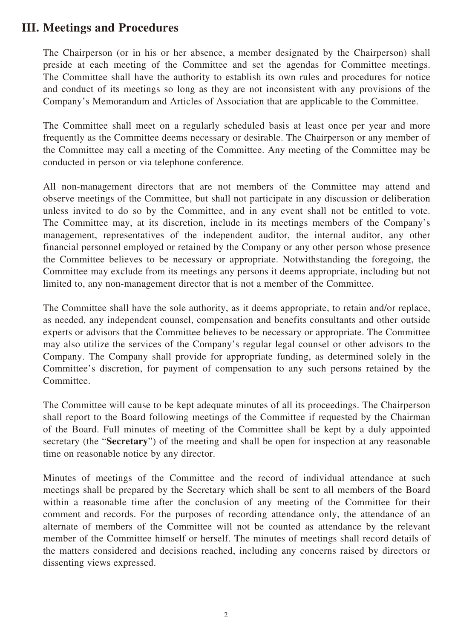#### **III. Meetings and Procedures**

The Chairperson (or in his or her absence, a member designated by the Chairperson) shall preside at each meeting of the Committee and set the agendas for Committee meetings. The Committee shall have the authority to establish its own rules and procedures for notice and conduct of its meetings so long as they are not inconsistent with any provisions of the Company's Memorandum and Articles of Association that are applicable to the Committee.

The Committee shall meet on a regularly scheduled basis at least once per year and more frequently as the Committee deems necessary or desirable. The Chairperson or any member of the Committee may call a meeting of the Committee. Any meeting of the Committee may be conducted in person or via telephone conference.

All non-management directors that are not members of the Committee may attend and observe meetings of the Committee, but shall not participate in any discussion or deliberation unless invited to do so by the Committee, and in any event shall not be entitled to vote. The Committee may, at its discretion, include in its meetings members of the Company's management, representatives of the independent auditor, the internal auditor, any other financial personnel employed or retained by the Company or any other person whose presence the Committee believes to be necessary or appropriate. Notwithstanding the foregoing, the Committee may exclude from its meetings any persons it deems appropriate, including but not limited to, any non-management director that is not a member of the Committee.

The Committee shall have the sole authority, as it deems appropriate, to retain and/or replace, as needed, any independent counsel, compensation and benefits consultants and other outside experts or advisors that the Committee believes to be necessary or appropriate. The Committee may also utilize the services of the Company's regular legal counsel or other advisors to the Company. The Company shall provide for appropriate funding, as determined solely in the Committee's discretion, for payment of compensation to any such persons retained by the Committee.

The Committee will cause to be kept adequate minutes of all its proceedings. The Chairperson shall report to the Board following meetings of the Committee if requested by the Chairman of the Board. Full minutes of meeting of the Committee shall be kept by a duly appointed secretary (the "**Secretary**") of the meeting and shall be open for inspection at any reasonable time on reasonable notice by any director.

Minutes of meetings of the Committee and the record of individual attendance at such meetings shall be prepared by the Secretary which shall be sent to all members of the Board within a reasonable time after the conclusion of any meeting of the Committee for their comment and records. For the purposes of recording attendance only, the attendance of an alternate of members of the Committee will not be counted as attendance by the relevant member of the Committee himself or herself. The minutes of meetings shall record details of the matters considered and decisions reached, including any concerns raised by directors or dissenting views expressed.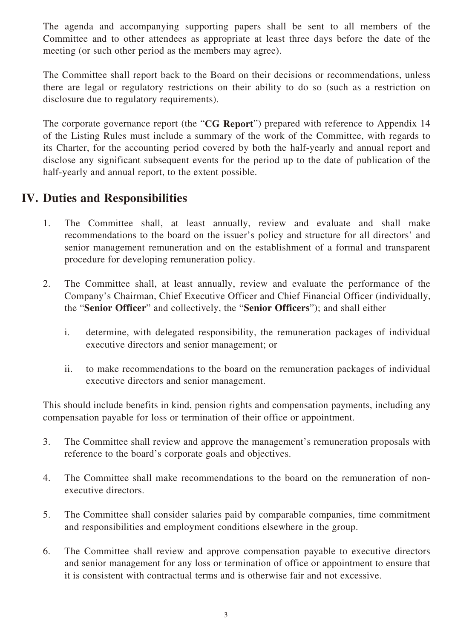The agenda and accompanying supporting papers shall be sent to all members of the Committee and to other attendees as appropriate at least three days before the date of the meeting (or such other period as the members may agree).

The Committee shall report back to the Board on their decisions or recommendations, unless there are legal or regulatory restrictions on their ability to do so (such as a restriction on disclosure due to regulatory requirements).

The corporate governance report (the "**CG Report**") prepared with reference to Appendix 14 of the Listing Rules must include a summary of the work of the Committee, with regards to its Charter, for the accounting period covered by both the half-yearly and annual report and disclose any significant subsequent events for the period up to the date of publication of the half-yearly and annual report, to the extent possible.

# **IV. Duties and Responsibilities**

- 1. The Committee shall, at least annually, review and evaluate and shall make recommendations to the board on the issuer's policy and structure for all directors' and senior management remuneration and on the establishment of a formal and transparent procedure for developing remuneration policy.
- 2. The Committee shall, at least annually, review and evaluate the performance of the Company's Chairman, Chief Executive Officer and Chief Financial Officer (individually, the "**Senior Officer**" and collectively, the "**Senior Officers**"); and shall either
	- i. determine, with delegated responsibility, the remuneration packages of individual executive directors and senior management; or
	- ii. to make recommendations to the board on the remuneration packages of individual executive directors and senior management.

This should include benefits in kind, pension rights and compensation payments, including any compensation payable for loss or termination of their office or appointment.

- 3. The Committee shall review and approve the management's remuneration proposals with reference to the board's corporate goals and objectives.
- 4. The Committee shall make recommendations to the board on the remuneration of nonexecutive directors.
- 5. The Committee shall consider salaries paid by comparable companies, time commitment and responsibilities and employment conditions elsewhere in the group.
- 6. The Committee shall review and approve compensation payable to executive directors and senior management for any loss or termination of office or appointment to ensure that it is consistent with contractual terms and is otherwise fair and not excessive.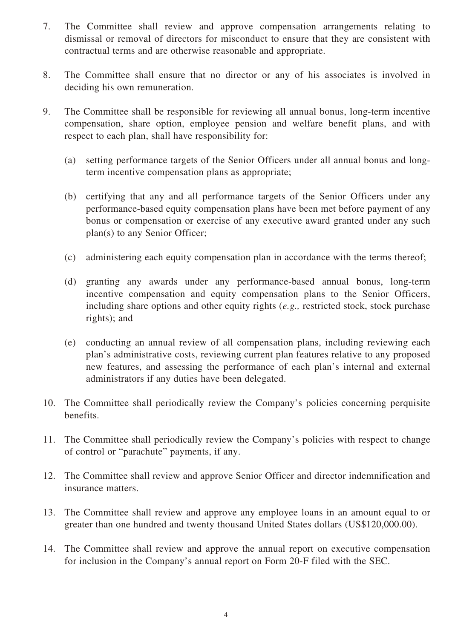- 7. The Committee shall review and approve compensation arrangements relating to dismissal or removal of directors for misconduct to ensure that they are consistent with contractual terms and are otherwise reasonable and appropriate.
- 8. The Committee shall ensure that no director or any of his associates is involved in deciding his own remuneration.
- 9. The Committee shall be responsible for reviewing all annual bonus, long-term incentive compensation, share option, employee pension and welfare benefit plans, and with respect to each plan, shall have responsibility for:
	- (a) setting performance targets of the Senior Officers under all annual bonus and longterm incentive compensation plans as appropriate;
	- (b) certifying that any and all performance targets of the Senior Officers under any performance-based equity compensation plans have been met before payment of any bonus or compensation or exercise of any executive award granted under any such plan(s) to any Senior Officer;
	- (c) administering each equity compensation plan in accordance with the terms thereof;
	- (d) granting any awards under any performance-based annual bonus, long-term incentive compensation and equity compensation plans to the Senior Officers, including share options and other equity rights (*e.g.,* restricted stock, stock purchase rights); and
	- (e) conducting an annual review of all compensation plans, including reviewing each plan's administrative costs, reviewing current plan features relative to any proposed new features, and assessing the performance of each plan's internal and external administrators if any duties have been delegated.
- 10. The Committee shall periodically review the Company's policies concerning perquisite benefits.
- 11. The Committee shall periodically review the Company's policies with respect to change of control or "parachute" payments, if any.
- 12. The Committee shall review and approve Senior Officer and director indemnification and insurance matters.
- 13. The Committee shall review and approve any employee loans in an amount equal to or greater than one hundred and twenty thousand United States dollars (US\$120,000.00).
- 14. The Committee shall review and approve the annual report on executive compensation for inclusion in the Company's annual report on Form 20-F filed with the SEC.